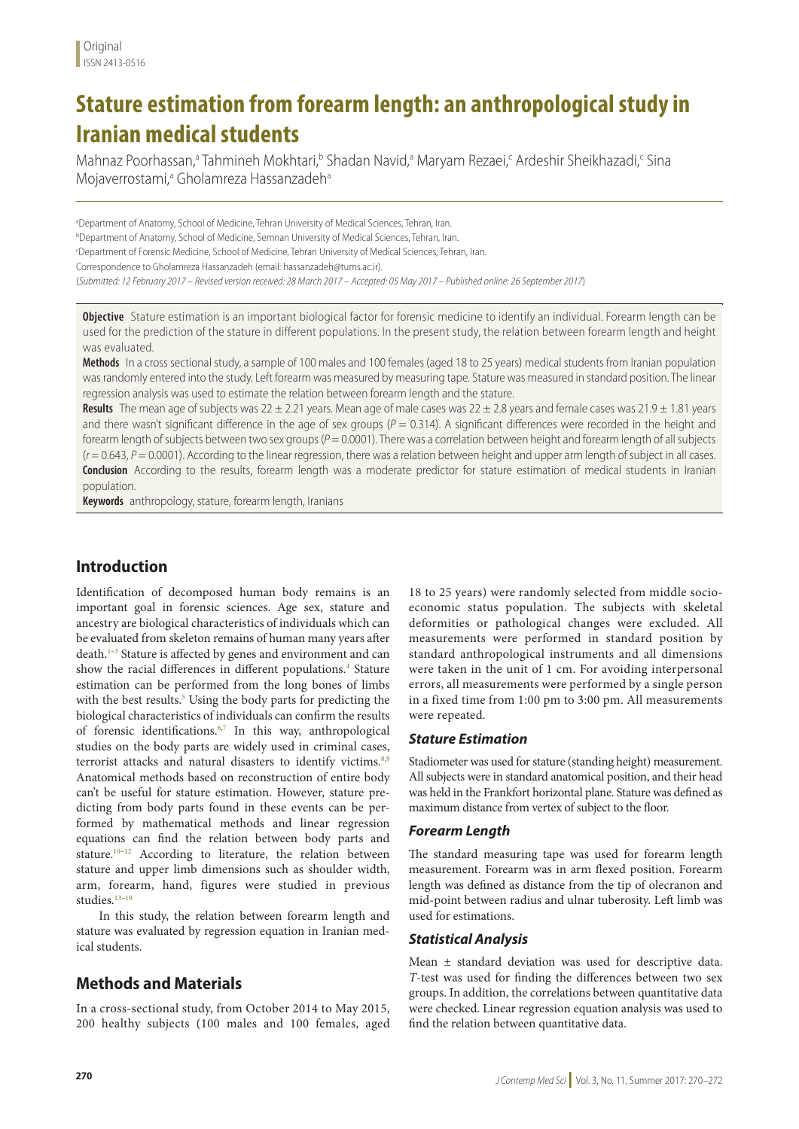# **Stature estimation from forearm length: an anthropological study in Iranian medical students**

Mahnaz Poorhassan,<sup>a</sup> Tahmineh Mokhtari,<sup>b</sup> Shadan Navid,<sup>a</sup> Maryam Rezaei,<sup>c</sup> Ardeshir Sheikhazadi,<sup>c</sup> Sina Mojaverrostami,<sup>a</sup> Gholamreza Hassanzadeh<sup>a</sup>

a Department of Anatomy, School of Medicine, Tehran University of Medical Sciences, Tehran, Iran. b Department of Anatomy, School of Medicine, Semnan University of Medical Sciences, Tehran, Iran. c Department of Forensic Medicine, School of Medicine, Tehran University of Medical Sciences, Tehran, Iran. Correspondence to Gholamreza Hassanzadeh (email: hassanzadeh@tums.ac.ir). (*Submitted: 12 February 2017 – Revised version received: 28 March 2017 – Accepted: 05 May 2017 – Published online: 26 September 2017*)

**Objective** Stature estimation is an important biological factor for forensic medicine to identify an individual. Forearm length can be used for the prediction of the stature in different populations. In the present study, the relation between forearm length and height was evaluated.

**Methods** In a cross sectional study, a sample of 100 males and 100 females (aged 18 to 25 years) medical students from Iranian population was randomly entered into the study. Left forearm was measured by measuring tape. Stature was measured in standard position. The linear regression analysis was used to estimate the relation between forearm length and the stature.

Results The mean age of subjects was 22 ± 2.21 years. Mean age of male cases was 22 ± 2.8 years and female cases was 21.9 ± 1.81 years and there wasn't significant difference in the age of sex groups  $(P = 0.314)$ . A significant differences were recorded in the height and forearm length of subjects between two sex groups ( $P = 0.0001$ ). There was a correlation between height and forearm length of all subjects  $(r = 0.643, P = 0.0001)$ . According to the linear regression, there was a relation between height and upper arm length of subject in all cases. **Conclusion** According to the results, forearm length was a moderate predictor for stature estimation of medical students in Iranian population.

**Keywords** anthropology, stature, forearm length, Iranians

# **Introduction**

Identification of decomposed human body remains is an important goal in forensic sciences. Age sex, stature and ancestry are biological characteristics of individuals which can be evaluated from skeleton remains of human many years after death.<sup>1-3</sup> Stature is affected by genes and environment and can show the racial differences in different populations.<sup>4</sup> Stature estimation can be performed from the long bones of limbs with the best results.<sup>5</sup> Using the body parts for predicting the biological characteristics of individuals can confirm the results of forensic identifications.<sup>6,7</sup> In this way, anthropological studies on the body parts are widely used in criminal cases, terrorist attacks and natural disasters to identify victims.<sup>8,9</sup> Anatomical methods based on reconstruction of entire body can't be useful for stature estimation. However, stature predicting from body parts found in these events can be performed by mathematical methods and linear regression equations can find the relation between body parts and stature.<sup>10–12</sup> According to literature, the relation between stature and upper limb dimensions such as shoulder width, arm, forearm, hand, figures were studied in previous studies.13–19

In this study, the relation between forearm length and stature was evaluated by regression equation in Iranian medical students.

# **Methods and Materials**

In a cross-sectional study, from October 2014 to May 2015, 200 healthy subjects (100 males and 100 females, aged

18 to 25 years) were randomly selected from middle socioeconomic status population. The subjects with skeletal deformities or pathological changes were excluded. All measurements were performed in standard position by standard anthropological instruments and all dimensions were taken in the unit of 1 cm. For avoiding interpersonal errors, all measurements were performed by a single person in a fixed time from 1:00 pm to 3:00 pm. All measurements were repeated.

## *Stature Estimation*

Stadiometer was used for stature (standing height) measurement. All subjects were in standard anatomical position, and their head was held in the Frankfort horizontal plane. Stature was defined as maximum distance from vertex of subject to the floor.

#### *Forearm Length*

The standard measuring tape was used for forearm length measurement. Forearm was in arm flexed position. Forearm length was defined as distance from the tip of olecranon and mid-point between radius and ulnar tuberosity. Left limb was used for estimations.

#### *Statistical Analysis*

Mean ± standard deviation was used for descriptive data. *T*-test was used for finding the differences between two sex groups. In addition, the correlations between quantitative data were checked. Linear regression equation analysis was used to find the relation between quantitative data.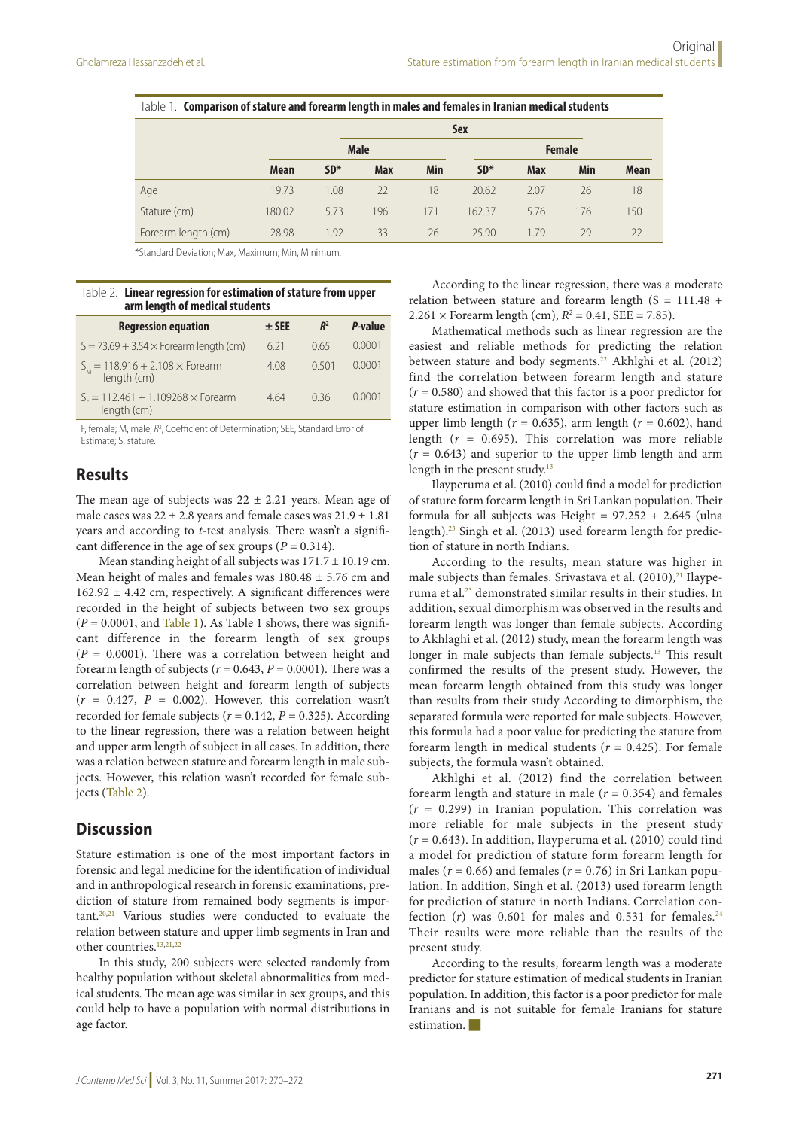|                     |             |       | -<br><b>Sex</b> |            |               |            |     |             |
|---------------------|-------------|-------|-----------------|------------|---------------|------------|-----|-------------|
|                     |             |       | <b>Male</b>     |            | <b>Female</b> |            |     |             |
|                     | <b>Mean</b> | $SD*$ | <b>Max</b>      | <b>Min</b> | $SD*$         | <b>Max</b> | Min | <b>Mean</b> |
| Age                 | 19.73       | 1.08  | 22              | 18         | 20.62         | 2.07       | 26  | 18          |
| Stature (cm)        | 180.02      | 5.73  | 196             | 171        | 162.37        | 5.76       | 176 | 150         |
| Forearm length (cm) | 28.98       | 1.92  | 33              | 26         | 25.90         | 1.79       | 29  | 22          |

Table 1. **Comparison of stature and forearm length in males and females in Iranian medical students**

\*Standard Deviation; Max, Maximum; Min, Minimum.

#### Table 2. **Linear regression for estimation of stature from upper arm length of medical students**

| <b>Regression equation</b>                               | $±$ SEE | $R^2$ | P-value |
|----------------------------------------------------------|---------|-------|---------|
| $S = 73.69 + 3.54 \times$ Forearm length (cm)            | 6.21    | 0.65  | 0.0001  |
| $S_M = 118.916 + 2.108 \times$ Forearm<br>length (cm)    | 4.08    | 0,501 | 0.0001  |
| $S_r = 112.461 + 1.109268 \times$ Forearm<br>length (cm) | 4.64    | 036   | 0.0001  |

F, female; M, male; *R*<sup>2</sup> , Coefficient of Determination; SEE, Standard Error of Estimate; S, stature.

## **Results**

The mean age of subjects was  $22 \pm 2.21$  years. Mean age of male cases was  $22 \pm 2.8$  years and female cases was  $21.9 \pm 1.81$ years and according to *t*-test analysis. There wasn't a significant difference in the age of sex groups ( $P = 0.314$ ).

Mean standing height of all subjects was  $171.7 \pm 10.19$  cm. Mean height of males and females was 180.48 ± 5.76 cm and 162.92 ± 4.42 cm, respectively. A significant differences were recorded in the height of subjects between two sex groups  $(P = 0.0001$ , and Table 1). As Table 1 shows, there was significant difference in the forearm length of sex groups  $(P = 0.0001)$ . There was a correlation between height and forearm length of subjects ( $r = 0.643$ ,  $P = 0.0001$ ). There was a correlation between height and forearm length of subjects  $(r = 0.427, P = 0.002)$ . However, this correlation wasn't recorded for female subjects ( $r = 0.142$ ,  $P = 0.325$ ). According to the linear regression, there was a relation between height and upper arm length of subject in all cases. In addition, there was a relation between stature and forearm length in male subjects. However, this relation wasn't recorded for female subjects (Table 2).

## **Discussion**

Stature estimation is one of the most important factors in forensic and legal medicine for the identification of individual and in anthropological research in forensic examinations, prediction of stature from remained body segments is important.20,21 Various studies were conducted to evaluate the relation between stature and upper limb segments in Iran and other countries.<sup>13,21,22</sup>

In this study, 200 subjects were selected randomly from healthy population without skeletal abnormalities from medical students. The mean age was similar in sex groups, and this could help to have a population with normal distributions in age factor.

According to the linear regression, there was a moderate relation between stature and forearm length  $(S = 111.48 +$ 2.261  $\times$  Forearm length (cm),  $R^2 = 0.41$ , SEE = 7.85).

Mathematical methods such as linear regression are the easiest and reliable methods for predicting the relation between stature and body segments.<sup>22</sup> Akhlghi et al. (2012) find the correlation between forearm length and stature (*r* = 0.580) and showed that this factor is a poor predictor for stature estimation in comparison with other factors such as upper limb length ( $r = 0.635$ ), arm length ( $r = 0.602$ ), hand length (*r* = 0.695). This correlation was more reliable  $(r = 0.643)$  and superior to the upper limb length and arm length in the present study.<sup>13</sup>

Ilayperuma et al. (2010) could find a model for prediction of stature form forearm length in Sri Lankan population. Their formula for all subjects was Height =  $97.252 + 2.645$  (ulna length).23 Singh et al. (2013) used forearm length for prediction of stature in north Indians.

According to the results, mean stature was higher in male subjects than females. Srivastava et al.  $(2010),^{21}$  Ilayperuma et al.23 demonstrated similar results in their studies. In addition, sexual dimorphism was observed in the results and forearm length was longer than female subjects. According to Akhlaghi et al. (2012) study, mean the forearm length was longer in male subjects than female subjects.<sup>13</sup> This result confirmed the results of the present study. However, the mean forearm length obtained from this study was longer than results from their study According to dimorphism, the separated formula were reported for male subjects. However, this formula had a poor value for predicting the stature from forearm length in medical students ( $r = 0.425$ ). For female subjects, the formula wasn't obtained.

Akhlghi et al. (2012) find the correlation between forearm length and stature in male  $(r = 0.354)$  and females (*r* = 0.299) in Iranian population. This correlation was more reliable for male subjects in the present study  $(r = 0.643)$ . In addition, Ilayperuma et al.  $(2010)$  could find a model for prediction of stature form forearm length for males ( $r = 0.66$ ) and females ( $r = 0.76$ ) in Sri Lankan population. In addition, Singh et al. (2013) used forearm length for prediction of stature in north Indians. Correlation confection  $(r)$  was 0.601 for males and 0.531 for females.<sup>24</sup> Their results were more reliable than the results of the present study.

According to the results, forearm length was a moderate predictor for stature estimation of medical students in Iranian population. In addition, this factor is a poor predictor for male Iranians and is not suitable for female Iranians for stature  $estimation$ .